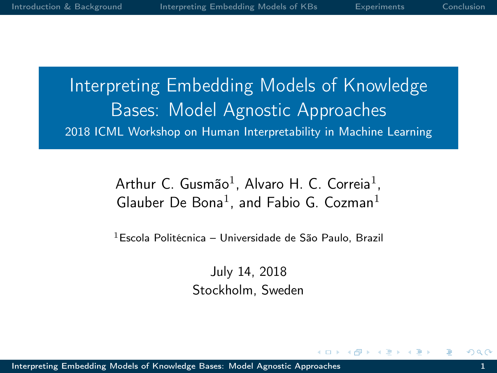<span id="page-0-0"></span>Interpreting Embedding Models of Knowledge Bases: Model Agnostic Approaches 2018 ICML Workshop on Human Interpretability in Machine Learning

> Arthur C. Gusmão<sup>1</sup>, Alvaro H. C. Correia<sup>1</sup>, Glauber De Bona<sup>1</sup>, and Fabio G. Cozman<sup>1</sup>

 $1$ Escola Politécnica – Universidade de São Paulo, Brazil

July 14, 2018 Stockholm, Sweden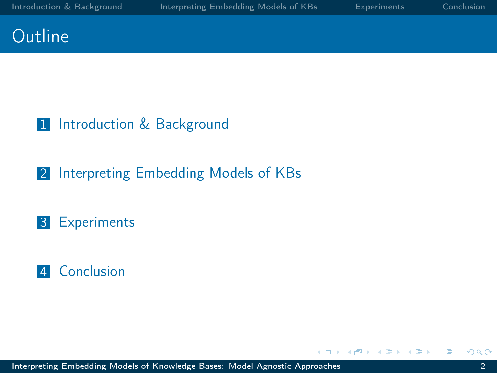$\sim$  m



#### 1 [Introduction & Background](#page-2-0)

#### 2 [Interpreting Embedding Models of KBs](#page-10-0)

#### 3 [Experiments](#page-19-0)

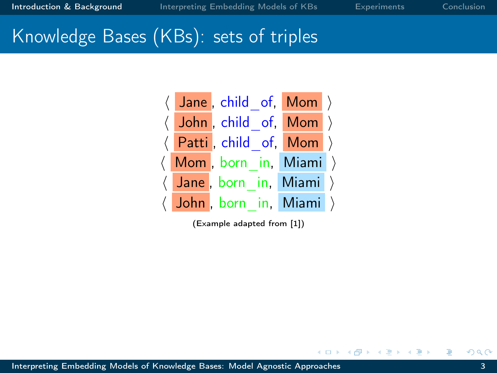### <span id="page-2-0"></span>Knowledge Bases (KBs): sets of triples



(Example adapted from [\[1\]](#page-23-1))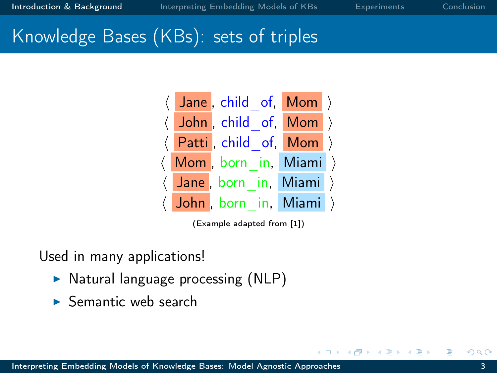# Knowledge Bases (KBs): sets of triples



(Example adapted from [\[1\]](#page-23-1))

Used in many applications!

- $\triangleright$  Natural language processing (NLP)
- $\blacktriangleright$  Semantic web search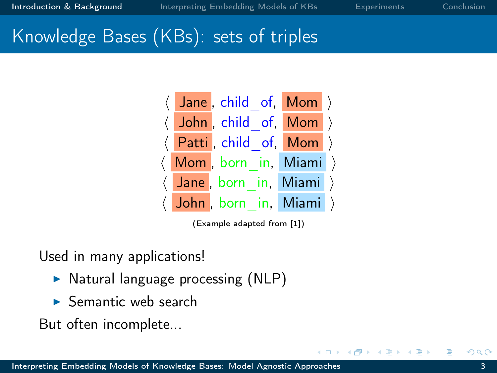### Knowledge Bases (KBs): sets of triples



(Example adapted from [\[1\]](#page-23-1))

Used in many applications!

- $\triangleright$  Natural language processing (NLP)
- $\blacktriangleright$  Semantic web search

But often incomplete...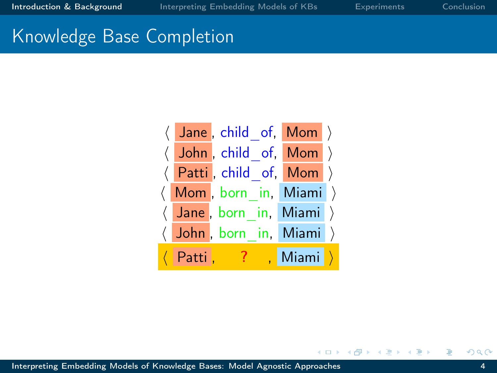#### Knowledge Base Completion

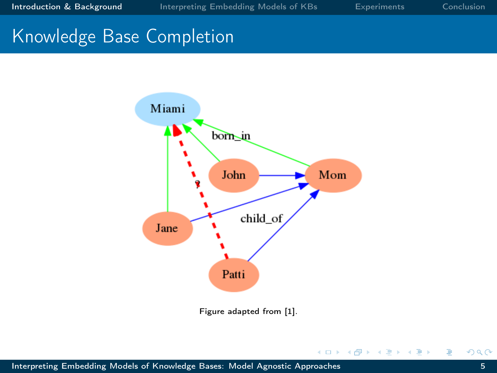# Knowledge Base Completion



Figure adapted from [\[1\]](#page-23-1).

 $\leftarrow$   $\Box$ 

×. 母  $\mathbf{h}$  э  $\,$ э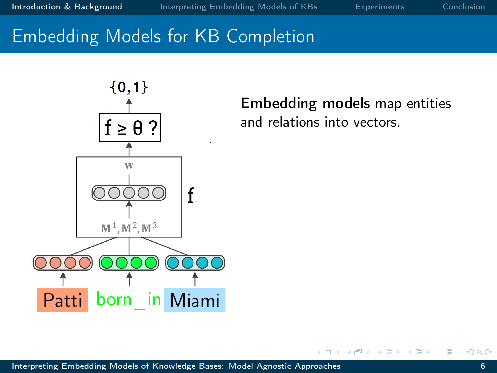# Embedding Models for KB Completion



Embedding models map entities and relations into vectors.

 $\leftarrow$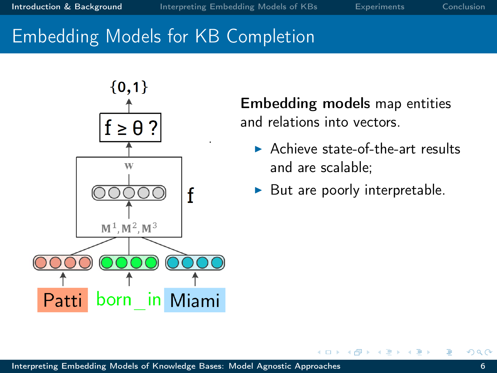# Embedding Models for KB Completion



Embedding models map entities and relations into vectors.

- $\blacktriangleright$  Achieve state-of-the-art results and are scalable;
- But are poorly interpretable.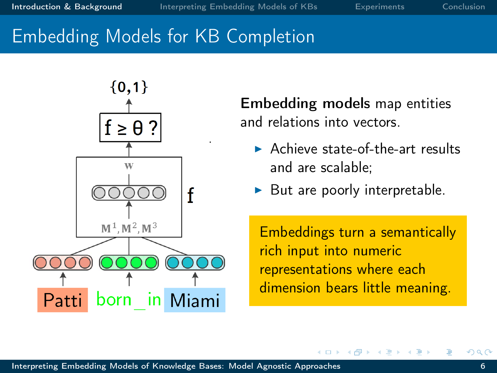# Embedding Models for KB Completion



Embedding models map entities and relations into vectors.

- $\blacktriangleright$  Achieve state-of-the-art results and are scalable;
- But are poorly interpretable.

Embeddings turn a semantically rich input into numeric representations where each dimension bears little meaning.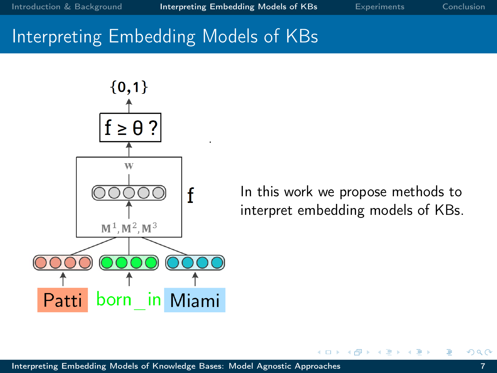<span id="page-10-0"></span>

In this work we propose methods to interpret embedding models of KBs.

 $\leftarrow$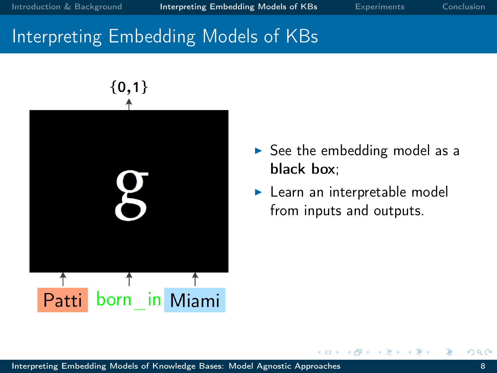

- $\triangleright$  See the embedding model as a black box;
- $\blacktriangleright$  Learn an interpretable model from inputs and outputs.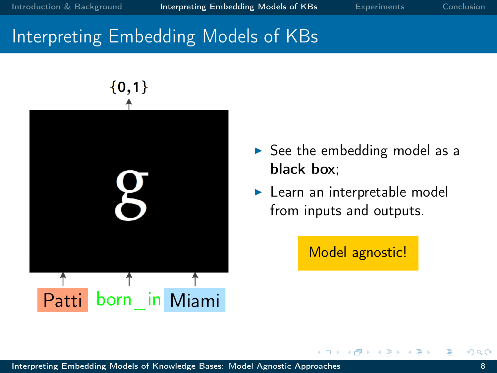

- $\triangleright$  See the embedding model as a black box;
- $\blacktriangleright$  Learn an interpretable model from inputs and outputs.

Model agnostic!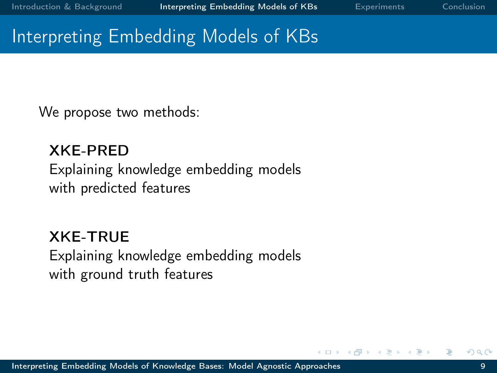We propose two methods:

XKE-PRED Explaining knowledge embedding models with predicted features

XKE-TRUE Explaining knowledge embedding models with ground truth features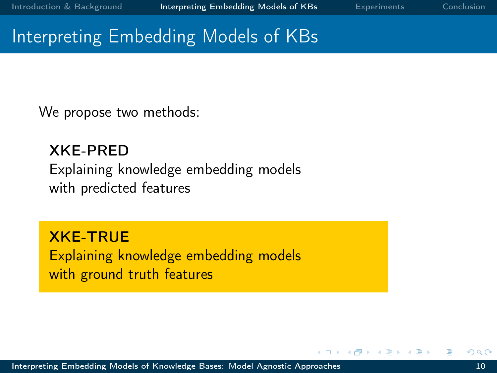We propose two methods:

XKE-PRED Explaining knowledge embedding models with predicted features

XKE-TRUE Explaining knowledge embedding models with ground truth features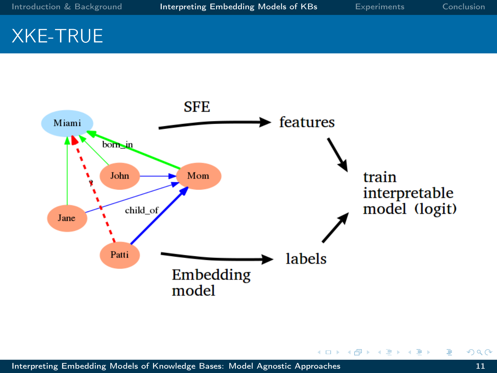### XKE-TRUE



 $\leftarrow$ 

母  $\sim$ ×. 舌 × э  $\mathbf{h}$  Ė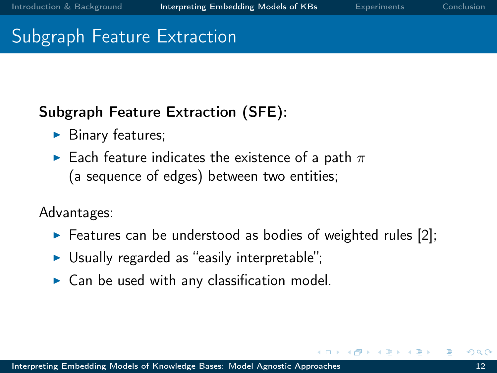#### Subgraph Feature Extraction

#### Subgraph Feature Extraction (SFE):

- $\blacktriangleright$  Binary features;
- $\blacktriangleright$  Each feature indicates the existence of a path  $\pi$ (a sequence of edges) between two entities;

Advantages:

- $\triangleright$  Features can be understood as bodies of weighted rules [\[2\]](#page-23-2);
- $\triangleright$  Usually regarded as "easily interpretable";
- $\triangleright$  Can be used with any classification model.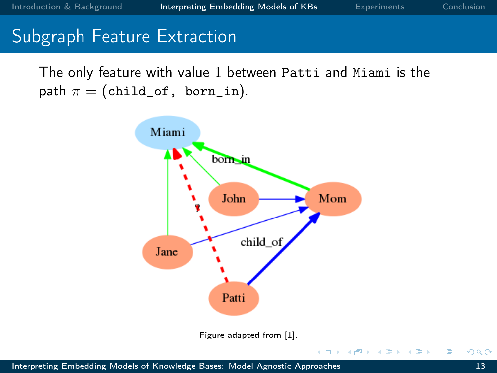#### Subgraph Feature Extraction

The only feature with value 1 between Patti and Miami is the path  $\pi =$  (child\_of, born\_in).



 $\overline{a}$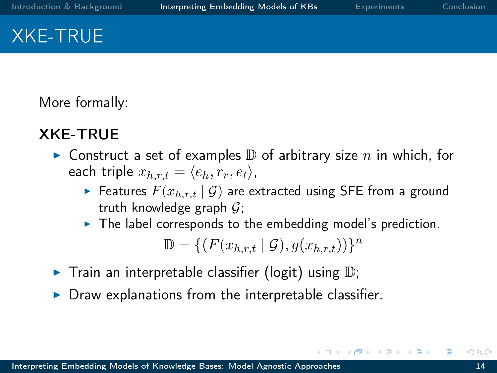# XKE-TRUE

More formally:

#### XKE-TRUE

- $\blacktriangleright$  Construct a set of examples  $\mathbb D$  of arbitrary size n in which, for each triple  $x_{h,r,t} = \langle e_h, r_r, e_t \rangle$ ,
	- Features  $F(x_{h,r,t} | \mathcal{G})$  are extracted using SFE from a ground truth knowledge graph  $G$ ;
	- $\blacktriangleright$  The label corresponds to the embedding model's prediction.

 $\mathbb{D} = \{ (F(x_{h,r,t} | \mathcal{G}), g(x_{h,r,t})) \}^n$ 

- $\blacktriangleright$  Train an interpretable classifier (logit) using  $\mathbb{D}$ ;
- Draw explanations from the interpretable classifier.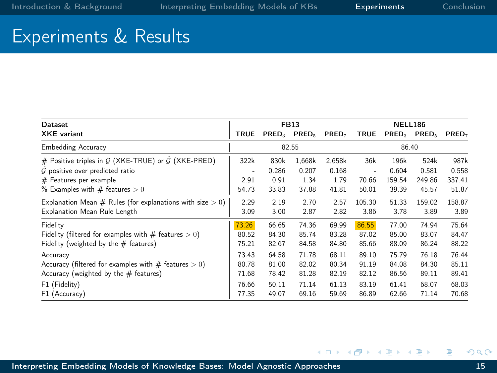$\mathbb{R}^3$ 

∍

 $\sim$ × -b э

4 0 8  $\prec$ 同 k. ∍

#### <span id="page-19-0"></span>Experiments & Results

| Dataset                                                        | <b>FB13</b> |       |                   |                   | NELL186     |        |                 |                   |
|----------------------------------------------------------------|-------------|-------|-------------------|-------------------|-------------|--------|-----------------|-------------------|
| <b>XKE</b> variant                                             | <b>TRUE</b> |       | $PRED_3$ $PRED_5$ | PRED <sub>7</sub> | <b>TRUE</b> |        | $PRED3$ $PRED5$ | PRED <sub>7</sub> |
| <b>Embedding Accuracy</b>                                      | 82.55       |       |                   | 86.40             |             |        |                 |                   |
| # Positive triples in $G$ (XKE-TRUE) or $\tilde{G}$ (XKE-PRED) | 322k        | 830k  | 1.668k            | 2,658k            | 36k         | 196k   | 524k            | 987k              |
| $G$ positive over predicted ratio                              | ٠           | 0.286 | 0.207             | 0.168             | ٠           | 0.604  | 0.581           | 0.558             |
| $#$ Features per example                                       | 2.91        | 0.91  | 1.34              | 1.79              | 70.66       | 159.54 | 249.86          | 337.41            |
| % Examples with $#$ features $> 0$                             | 54.73       | 33.83 | 37.88             | 41.81             | 50.01       | 39.39  | 45.57           | 51.87             |
| Explanation Mean # Rules (for explanations with size $> 0$ )   | 2.29        | 2.19  | 2.70              | 2.57              | 105.30      | 51.33  | 159.02          | 158.87            |
| Explanation Mean Rule Length                                   | 3.09        | 3.00  | 2.87              | 2.82              | 3.86        | 3.78   | 3.89            | 3.89              |
| Fidelity                                                       | 73.26       | 66.65 | 74.36             | 69.99             | 86.55       | 77.00  | 74.94           | 75.64             |
| Fidelity (filtered for examples with $#$ features $> 0$ )      | 80.52       | 84.30 | 85.74             | 83.28             | 87.02       | 85.00  | 83.07           | 84.47             |
| Fidelity (weighted by the $#$ features)                        | 75.21       | 82.67 | 84.58             | 84.80             | 85.66       | 88.09  | 86.24           | 88.22             |
| Accuracy                                                       | 73.43       | 64.58 | 71.78             | 68.11             | 89.10       | 75.79  | 76.18           | 76.44             |
| Accuracy (filtered for examples with $#$ features $> 0$ )      | 80.78       | 81.00 | 82.02             | 80.34             | 91.19       | 84.08  | 84.30           | 85.11             |
| Accuracy (weighted by the $#$ features)                        | 71.68       | 78.42 | 81.28             | 82.19             | 82.12       | 86.56  | 89.11           | 89.41             |
| F1 (Fidelity)                                                  | 76.66       | 50.11 | 71.14             | 61.13             | 83.19       | 61.41  | 68.07           | 68.03             |
| F1 (Accuracy)                                                  | 77.35       | 49.07 | 69.16             | 59.69             | 86.89       | 62.66  | 71.14           | 70.68             |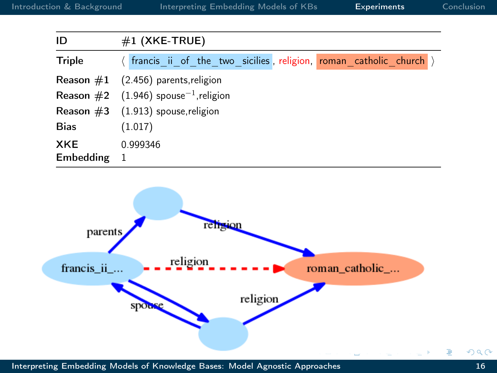| ID            | $#1$ (XKE-TRUE)                                                    |  |  |  |
|---------------|--------------------------------------------------------------------|--|--|--|
| <b>Triple</b> | (francis ii of the two sicilies, religion, roman catholic church ) |  |  |  |
|               | Reason $#1$ (2.456) parents, religion                              |  |  |  |
|               | <b>Reason</b> #2 $(1.946)$ spouse <sup>-1</sup> , religion         |  |  |  |
|               | <b>Reason</b> $#3$ (1.913) spouse, religion                        |  |  |  |
| <b>Bias</b>   | (1.017)                                                            |  |  |  |
| <b>XKE</b>    | 0.999346                                                           |  |  |  |
| Embedding     | -1                                                                 |  |  |  |



[Interpreting Embedding Models of Knowledge Bases: Model Agnostic Approaches](#page-0-0) 16

Ė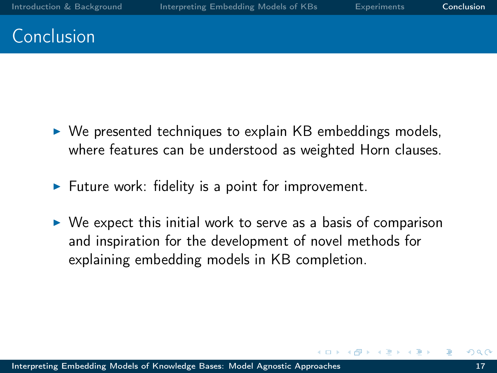## <span id="page-21-0"></span>Conclusion

- $\triangleright$  We presented techniques to explain KB embeddings models, where features can be understood as weighted Horn clauses.
- $\blacktriangleright$  Future work: fidelity is a point for improvement.
- $\triangleright$  We expect this initial work to serve as a basis of comparison and inspiration for the development of novel methods for explaining embedding models in KB completion.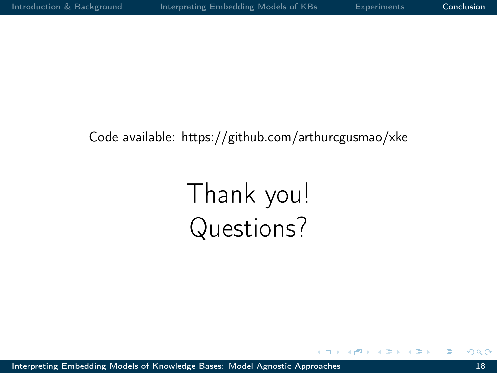#### Code available: https://github.com/arthurcgusmao/xke

# Thank you! Questions?

 $\sim$  m

[Interpreting Embedding Models of Knowledge Bases: Model Agnostic Approaches](#page-0-0) 18